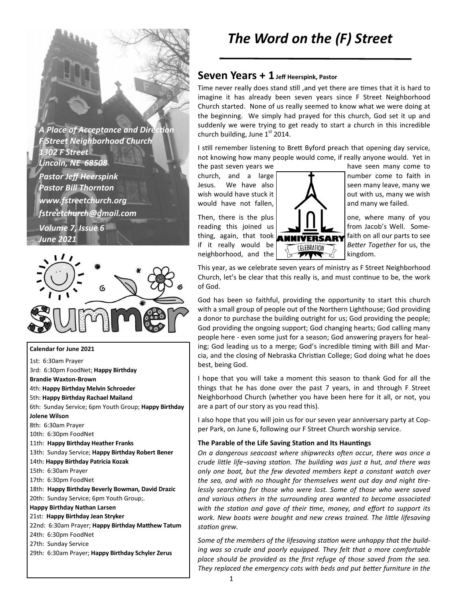**A Place of Acceptance and Direction** *F Street Neighborhood Church 1302 F Street Lincoln, NE 68508 Pastor Jeff Heerspink Pastor Bill Thornton www.fstreetchurch.org fstreetchurch@gmail.com Volume 7, Issue 6* 



#### **Calendar for June 2021**

1st: 6:30am Prayer 3rd: 6:30pm FoodNet; **Happy Birthday Brandie Waxton-Brown**  4th: **Happy Birthday Melvin Schroeder**  5th: **Happy Birthday Rachael Mailand**  6th: Sunday Service; 6pm Youth Group; **Happy Birthday Jolene Wilson**  8th: 6:30am Prayer 10th: 6:30pm FoodNet 11th: **Happy Birthday Heather Franks**  13th: Sunday Service; **Happy Birthday Robert Bener**  14th: **Happy Birthday Patricia Kozak**  15th: 6:30am Prayer 17th: 6:30pm FoodNet 18th: **Happy Birthday Beverly Bowman, David Drazic**  20th: Sunday Service; 6pm Youth Group;. **Happy Birthday Nathan Larsen**  21st: **Happy Birthday Jean Stryker**  22nd: 6:30am Prayer; Happy Birthday Matthew Tatum 24th: 6:30pm FoodNet 27th: Sunday Service 29th: 6:30am Prayer; **Happy Birthday Schyler Zerus** 

# *The Word on the (F) Street*

### **Seven Years + 1 Jeff Heerspink, Pastor**

Time never really does stand still ,and yet there are times that it is hard to imagine it has already been seven years since F Street Neighborhood Church started. None of us really seemed to know what we were doing at the beginning. We simply had prayed for this church, God set it up and suddenly we were trying to get ready to start a church in this incredible church building, June  $1<sup>st</sup>$  2014.

I still remember listening to Brett Byford preach that opening day service, not knowing how many people would come, if really anyone would. Yet in

would have not fallen,  $\parallel$   $\parallel$  and many we failed.

neighborhood, and the  $\forall$  kingdom.



church, and a large **+**  $\bullet$  number come to faith in Jesus. We have also  $\parallel$   $\blacksquare$  seen many leave, many we wish would have stuck it  $\sim$  out with us, many we wish

Then, there is the plus  $\begin{bmatrix} 1 & 1 \\ 1 & 1 \end{bmatrix}$  one, where many of you reading this joined us from Jacob's Well. Something, again, that took **ANNIVERSARY** faith on all our parts to see if it really would be **FILLEDATION** Better Together for us, the

This year, as we celebrate seven years of ministry as F Street Neighborhood Church, let's be clear that this really is, and must continue to be, the work of God.

God has been so faithful, providing the opportunity to start this church with a small group of people out of the Northern Lighthouse; God providing a donor to purchase the building outright for us; God providing the people; God providing the ongoing support; God changing hearts; God calling many people here - even some just for a season; God answering prayers for healing; God leading us to a merge; God's incredible timing with Bill and Marcia, and the closing of Nebraska Christian College; God doing what he does best, being God.

I hope that you will take a moment this season to thank God for all the things that he has done over the past 7 years, in and through F Street Neighborhood Church (whether you have been here for it all, or not, you are a part of our story as you read this).

I also hope that you will join us for our seven year anniversary party at Copper Park, on June 6, following our F Street Church worship service.

#### **The Parable of the Life Saving Station and Its Hauntings**

*On a dangerous seacoast where shipwrecks often occur, there was once a* crude little life-saving station. The building was just a hut, and there was *only one boat, but the few devoted members kept a constant watch over the sea, and with no thought for themselves went out day and night tirelessly searching for those who were lost. Some of those who were saved and various others in the surrounding area wanted to become associated*  with the station and gave of their time, money, and effort to support its work. New boats were bought and new crews trained. The little lifesaving station grew.

Some of the members of the lifesaving station were unhappy that the build*ing was so crude and poorly equipped. They felt that a more comfortable place should be provided as the first refuge of those saved from the sea. They replaced the emergency cots with beds and put better furniture in the*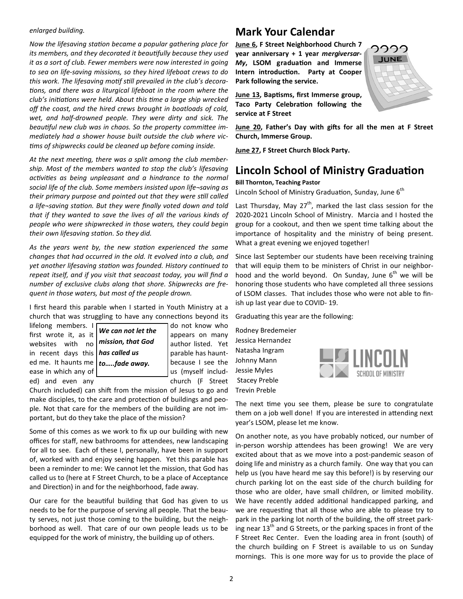#### *enlarged building.*

*Now the lifesaving station became a popular gathering place for* its members, and they decorated it beautifully because they used *it as a sort of club. Fewer members were now interested in going to sea on life-saving missions, so they hired lifeboat crews to do* this work. The lifesaving motif still prevailed in the club's decorations, and there was a liturgical lifeboat in the room where the club's initiations were held. About this time a large ship wrecked *off the coast, and the hired crews brought in boatloads of cold, wet, and half-drowned people. They were dirty and sick. The*  beautiful new club was in chaos. So the property committee im*mediately had a shower house built outside the club where vic ms of shipwrecks could be cleaned up before coming inside.* 

At the next meeting, there was a split among the club member*ship. Most of the members wanted to stop the club's lifesaving*  activities as being unpleasant and a hindrance to the normal *social life of the club. Some members insisted upon life¬saving as*  their primary purpose and pointed out that they were still called a life-saving station. But they were finally voted down and told *that if they wanted to save the lives of all the various kinds of people who were shipwrecked in those waters, they could begin*  their own lifesaving station. So they did.

As the years went by, the new station experienced the same *changes that had occurred in the old. It evolved into a club, and*  yet another lifesaving station was founded. History continued to *repeat itself, and if you visit that seacoast today, you will find a number of exclusive clubs along that shore. Shipwrecks are frequent in those waters, but most of the people drown.* 

I first heard this parable when I started in Youth Ministry at a church that was struggling to have any connections beyond its

lifelong members.  $\sqrt{a}$   $\sqrt{a}$  do not know who first wrote it, as it  $\mathbf{v}$  is called the contract and appears on many websites with no  $\vert$  mission, that God  $\vert$  author listed. Yet in recent days this  $\ln s$  called us  $\ln s$  parable has haunted me. It haunts me  $\left\lfloor t_0 \right\rfloor$   $\left\lfloor t_0 \right\rfloor$   $\left\lfloor t_0 \right\rfloor$   $\left\lfloor t_0 \right\rfloor$   $\left\lfloor t_0 \right\rfloor$   $\left\lfloor t_0 \right\rfloor$   $\left\lfloor t_0 \right\rfloor$   $\left\lfloor t_0 \right\rfloor$   $\left\lfloor t_0 \right\rfloor$   $\left\lfloor t_0 \right\rfloor$   $\left\lfloor t_0 \right\rfloor$   $\left\lfloor t_0 \right\rfloor$   $\left\lfloor t_0$ ease in which any of  $\vert$   $\vert$   $\vert$   $\vert$   $\vert$  us (myself included) and even any church (F Street

*We can not let the mission, that God has called us to…..fade away.* 

Church included) can shift from the mission of Jesus to go and make disciples, to the care and protection of buildings and people. Not that care for the members of the building are not important, but do they take the place of the mission?

Some of this comes as we work to fix up our building with new offices for staff, new bathrooms for attendees, new landscaping for all to see. Each of these I, personally, have been in support of, worked with and enjoy seeing happen. Yet this parable has been a reminder to me: We cannot let the mission, that God has called us to (here at F Street Church, to be a place of Acceptance and Direction) in and for the neighborhood, fade away.

Our care for the beautiful building that God has given to us needs to be for the purpose of serving all people. That the beauty serves, not just those coming to the building, but the neighborhood as well. That care of our own people leads us to be equipped for the work of ministry, the building up of others.

### **Mark Your Calendar**

**June 6, F Street Neighborhood Church 7 year anniversary + 1 year** *mergiversar-My*, LSOM graduation and Immerse **Intern introduction. Party at Cooper Park following the service.** 



**June 13, Baptisms, first Immerse group, Taco Party Celebration following the service at F Street** 

**June 20, Father's Day with gifts for all the men at F Street Church, Immerse Group.** 

**June 27, F Street Church Block Party.** 

### **Lincoln School of Ministry Graduation**

#### **Bill Thornton, Teaching Pastor**

Lincoln School of Ministry Graduation, Sunday, June 6<sup>th</sup>

Last Thursday, May  $27<sup>th</sup>$ , marked the last class session for the 2020-2021 Lincoln School of Ministry. Marcia and I hosted the group for a cookout, and then we spent time talking about the importance of hospitality and the ministry of being present. What a great evening we enjoyed together!

Since last September our students have been receiving training that will equip them to be ministers of Christ in our neighborhood and the world beyond. On Sunday, June  $6<sup>th</sup>$  we will be honoring those students who have completed all three sessions of LSOM classes. That includes those who were not able to finish up last year due to COVID- 19.

Graduating this year are the following:

Rodney Bredemeier Jessica Hernandez Natasha Ingram Johnny Mann Jessie Myles Stacey Preble Trevin Preble



The next time you see them, please be sure to congratulate them on a job well done! If you are interested in attending next year's LSOM, please let me know.

On another note, as you have probably noticed, our number of in-person worship attendees has been growing! We are very excited about that as we move into a post-pandemic season of doing life and ministry as a church family. One way that you can help us (you have heard me say this before!) is by reserving our church parking lot on the east side of the church building for those who are older, have small children, or limited mobility. We have recently added additional handicapped parking, and we are requesting that all those who are able to please try to park in the parking lot north of the building, the off street parking near  $13<sup>th</sup>$  and G Streets, or the parking spaces in front of the F Street Rec Center. Even the loading area in front (south) of the church building on F Street is available to us on Sunday mornings. This is one more way for us to provide the place of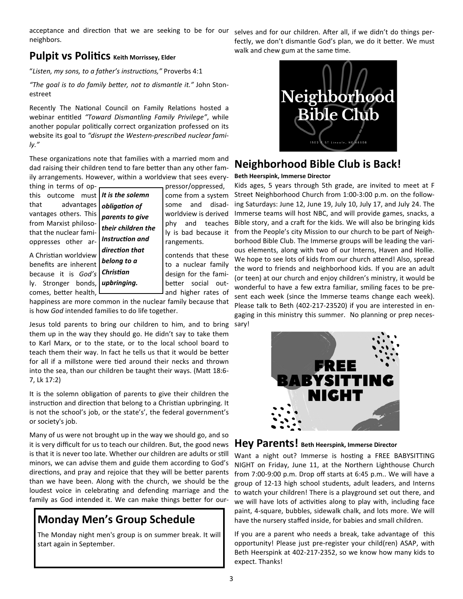acceptance and direction that we are seeking to be for our neighbors.

### **Pulpit VS Politics** Keith Morrissey, Elder

"Listen, my sons, to a father's instructions," Proverbs 4:1

*"The goal is to do family beer, not to dismantle it."* John Stonestreet

Recently The National Council on Family Relations hosted a webinar entitled "Toward Dismantling Family Privilege", while another popular politically correct organization professed on its website its goal to *"disrupt the Western-prescribed nuclear family."* 

These organizations note that families with a married mom and dad raising their children tend to fare better than any other family arrangements. However, within a worldview that sees every-

thing in terms of op-<br>
<u>pressor</u>/oppressed, this outcome must | It is the solemn  $\Box$  come from a system that advantages  $\lambda$  obligation of some and disadvantages others. This  $\int_{\text{measurable}}$  is  $\int$  worldview is derived from Marxist philoso- $\begin{bmatrix} 0 & 0 & 0 \\ 0 & 0 & 0 \\ 0 & 0 & 0 \end{bmatrix}$  phy and teaches that the nuclear fami- ly is bad because it oppresses other  $ar-\frac{1}{n}$  mstruction and  $\frac{1}{n}$  rangements.

A Christian worldview  $\int$  contends that these benefits are inherent  $\begin{bmatrix} \text{below 1} \\ \text{below 2} \end{bmatrix}$  to a nuclear family because it is  $God's$  **Christian** design for the family. Stronger bonds, upbringing.  $|$  better social out-

*It is the solemn*   $obligation$  of *parents to give their children the Instruction and*  $direction that$ *belong to a Chrisan upbringing.* 

comes, better health,  $L$  and higher rates of

happiness are more common in the nuclear family because that is how *God* intended families to do life together.

Jesus told parents to bring our children to him, and to bring sary! them up in the way they should go. He didn't say to take them to Karl Marx, or to the state, or to the local school board to teach them their way. In fact he tells us that it would be better for all if a millstone were tied around their necks and thrown into the sea, than our children be taught their ways. (Matt 18:6-7, Lk 17:2)

It is the solemn obligation of parents to give their children the instruction and direction that belong to a Christian upbringing. It is not the school's job, or the state's', the federal government's or society's job.

Many of us were not brought up in the way we should go, and so it is very difficult for us to teach our children. But, the good news is that it is never too late. Whether our children are adults or still minors, we can advise them and guide them according to God's directions, and pray and rejoice that they will be better parents than we have been. Along with the church, we should be the loudest voice in celebrating and defending marriage and the family as God intended it. We can make things better for our-

## **Monday Men's Group Schedule**

The Monday night men's group is on summer break. It will start again in September.

selves and for our children. After all, if we didn't do things perfectly, we don't dismantle God's plan, we do it better. We must walk and chew gum at the same time.



## **Neighborhood Bible Club is Back!**

### **Beth Heerspink, Immerse Director**

Kids ages, 5 years through 5th grade, are invited to meet at F Street Neighborhood Church from 1:00-3:00 p.m. on the following Saturdays: June 12, June 19, July 10, July 17, and July 24. The Immerse teams will host NBC, and will provide games, snacks, a Bible story, and a craft for the kids. We will also be bringing kids from the People's city Mission to our church to be part of Neighborhood Bible Club. The Immerse groups will be leading the various elements, along with two of our Interns, Haven and Hollie. We hope to see lots of kids from our church attend! Also, spread the word to friends and neighborhood kids. If you are an adult (or teen) at our church and enjoy children's ministry, it would be wonderful to have a few extra familiar, smiling faces to be present each week (since the Immerse teams change each week). Please talk to Beth (402-217-23520) if you are interested in engaging in this ministry this summer. No planning or prep neces-



### **Hey Parents! Beth Heerspink, Immerse Director**

Want a night out? Immerse is hosting a FREE BABYSITTING NIGHT on Friday, June 11, at the Northern Lighthouse Church from 7:00-9:00 p.m. Drop off starts at 6:45 p.m.. We will have a group of 12-13 high school students, adult leaders, and Interns to watch your children! There is a playground set out there, and we will have lots of activities along to play with, including face paint, 4-square, bubbles, sidewalk chalk, and lots more. We will have the nursery staffed inside, for babies and small children.

If you are a parent who needs a break, take advantage of this opportunity! Please just pre-register your child(ren) ASAP, with Beth Heerspink at 402-217-2352, so we know how many kids to expect. Thanks!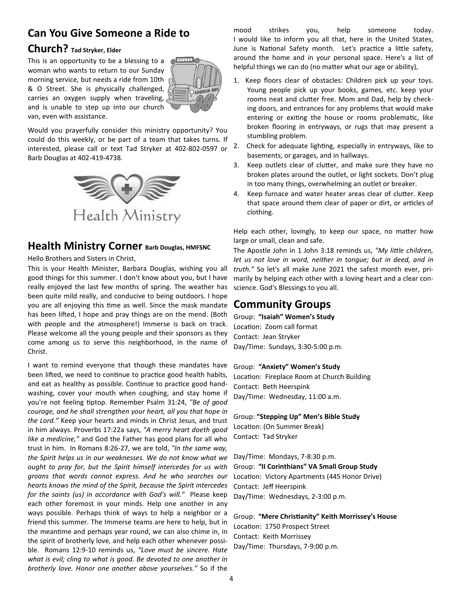## **Can You Give Someone a Ride to**

### **Church? Tad Stryker, Elder**

This is an opportunity to be a blessing to a woman who wants to return to our Sunday morning service, but needs a ride from 10th & O Street. She is physically challenged, carries an oxygen supply when traveling, and is unable to step up into our church van, even with assistance.



Would you prayerfully consider this ministry opportunity? You could do this weekly, or be part of a team that takes turns. If interested, please call or text Tad Stryker at 402-802-0597 or Barb Douglas at 402-419-4738.



## **Health Ministry Corner Barb Douglas, HMFSNC**

Hello Brothers and Sisters in Christ,

This is your Health Minister, Barbara Douglas, wishing you all good things for this summer. I don't know about you, but I have really enjoyed the last few months of spring. The weather has been quite mild really, and conducive to being outdoors. I hope you are all enjoying this time as well. Since the mask mandate has been lifted, I hope and pray things are on the mend. (Both with people and the atmosphere!) Immerse is back on track. Please welcome all the young people and their sponsors as they come among us to serve this neighborhood, in the name of Christ.

I want to remind everyone that though these mandates have been lifted, we need to continue to practice good health habits, and eat as healthy as possible. Continue to practice good handwashing, cover your mouth when coughing, and stay home if you're not feeling tiptop. Remember Psalm 31:24, "Be of good *courage, and he shall strengthen your heart, all you that hope in the Lord."* Keep your hearts and minds in Christ Jesus, and trust in him always. Proverbs 17:22a says, *"A merry heart doeth good like a medicine,"* and God the Father has good plans for all who trust in him. In Romans 8:26-27, we are told, *"In the same way, the Spirit helps us in our weaknesses. We do not know what we ought to pray for, but the Spirit himself intercedes for us with groans that words cannot express. And he who searches our hearts knows the mind of the Spirit, because the Spirit intercedes for the saints (us) in accordance with God's will."* Please keep each other foremost in your minds. Help one another in any ways possible. Perhaps think of ways to help a neighbor or a friend this summer. The Immerse teams are here to help, but in the meantime and perhaps year round, we can also chime in, in the spirit of brotherly love, and help each other whenever possible. Romans 12:9-10 reminds us, *"Love must be sincere. Hate what is evil; cling to what is good. Be devoted to one another in brotherly love. Honor one another above yourselves."* So if the

mood strikes you, help someone today. I would like to inform you all that, here in the United States, June is National Safety month. Let's practice a little safety, around the home and in your personal space. Here's a list of helpful things we can do (no matter what our age or ability),

- 1. Keep floors clear of obstacles: Children pick up your toys. Young people pick up your books, games, etc. keep your rooms neat and clutter free. Mom and Dad, help by checking doors, and entrances for any problems that would make entering or exiting the house or rooms problematic, like broken flooring in entryways, or rugs that may present a stumbling problem.
- 2. Check for adequate lighting, especially in entryways, like to basements, or garages, and in hallways.
- 3. Keep outlets clear of clutter, and make sure they have no broken plates around the outlet, or light sockets. Don't plug in too many things, overwhelming an outlet or breaker.
- 4. Keep furnace and water heater areas clear of clutter. Keep that space around them clear of paper or dirt, or articles of clothing.

Help each other, lovingly, to keep our space, no matter how large or small, clean and safe.

The Apostle John in 1 John 3:18 reminds us, "My little children, let us not love in word, neither in tongue; but in deed, and in *truth."* So let's all make June 2021 the safest month ever, primarily by helping each other with a loving heart and a clear conscience. God's Blessings to you all.

### **Community Groups**

Group: **"Isaiah" Women's Study** Location: Zoom call format Contact: Jean Stryker Day/Time: Sundays, 3:30-5:00 p.m.

Group: **"Anxiety" Women's Study**

Location: Fireplace Room at Church Building Contact: Beth Heerspink Day/Time: Wednesday, 11:00 a.m.

Group: **"Stepping Up" Men's Bible Study** Location: (On Summer Break) Contact: Tad Stryker

Day/Time: Mondays, 7-8:30 p.m. Group: **"II Corinthians" VA Small Group Study** Location: Victory Apartments (445 Honor Drive) Contact: Jeff Heerspink Day/Time: Wednesdays, 2-3:00 p.m.

Group: "Mere Christianity" Keith Morrissey's House Location: 1750 Prospect Street Contact: Keith Morrissey Day/Time: Thursdays, 7-9:00 p.m.